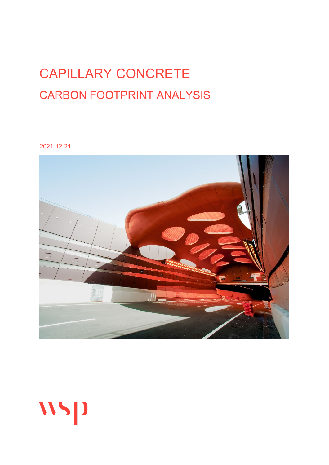# CAPILLARY CONCRETE CARBON FOOTPRINT ANALYSIS

2021-12-21



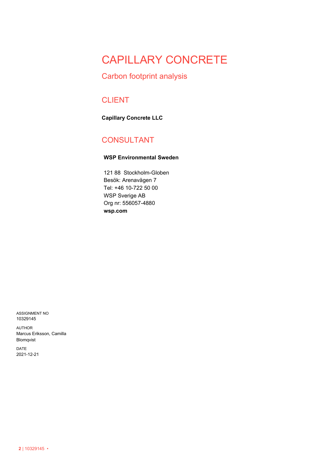## CAPILLARY CONCRETE

### Carbon footprint analysis

### CLIENT

**Capillary Concrete LLC**

### CONSULTANT

#### **WSP Environmental Sweden**

121 88 Stockholm-Globen Besök: Arenavägen 7 Tel: +46 10-722 50 00 WSP Sverige AB Org nr: 556057-4880 **wsp.com**

ASSIGNMENT NO 10329145

AUTHOR Marcus Eriksson, Camilla Blomqvist

DATE 2021-12-21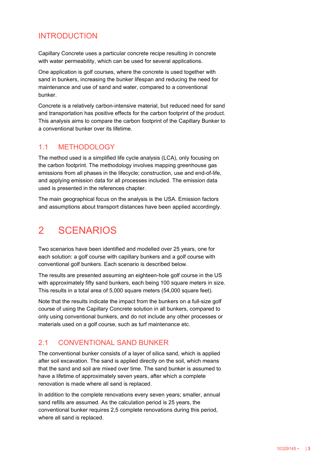### INTRODUCTION

Capillary Concrete uses a particular concrete recipe resulting in concrete with water permeability, which can be used for several applications.

One application is golf courses, where the concrete is used together with sand in bunkers, increasing the bunker lifespan and reducing the need for maintenance and use of sand and water, compared to a conventional bunker.

Concrete is a relatively carbon-intensive material, but reduced need for sand and transportation has positive effects for the carbon footprint of the product. This analysis aims to compare the carbon footprint of the Capillary Bunker to a conventional bunker over its lifetime.

#### 1.1 METHODOLOGY

The method used is a simplified life cycle analysis (LCA), only focusing on the carbon footprint. The methodology involves mapping greenhouse gas emissions from all phases in the lifecycle; construction, use and end-of-life, and applying emission data for all processes included. The emission data used is presented in the references chapter.

The main geographical focus on the analysis is the USA. Emission factors and assumptions about transport distances have been applied accordingly.

## 2 SCENARIOS

Two scenarios have been identified and modelled over 25 years, one for each solution: a golf course with capillary bunkers and a golf course with conventional golf bunkers. Each scenario is described below.

The results are presented assuming an eighteen-hole golf course in the US with approximately fifty sand bunkers, each being 100 square meters in size. This results in a total area of 5,000 square meters (54,000 square feet).

Note that the results indicate the impact from the bunkers on a full-size golf course of using the Capillary Concrete solution in all bunkers, compared to only using conventional bunkers, and do not include any other processes or materials used on a golf course, such as turf maintenance etc.

#### 2.1 CONVENTIONAL SAND BUNKER

The conventional bunker consists of a layer of silica sand, which is applied after soil excavation. The sand is applied directly on the soil, which means that the sand and soil are mixed over time. The sand bunker is assumed to have a lifetime of approximately seven years, after which a complete renovation is made where all sand is replaced.

In addition to the complete renovations every seven years; smaller, annual sand refills are assumed. As the calculation period is 25 years, the conventional bunker requires 2,5 complete renovations during this period, where all sand is replaced.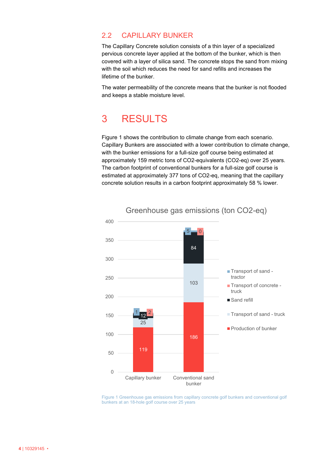#### 2.2 CAPILLARY BUNKER

The Capillary Concrete solution consists of a thin layer of a specialized pervious concrete layer applied at the bottom of the bunker, which is then covered with a layer of silica sand. The concrete stops the sand from mixing with the soil which reduces the need for sand refills and increases the lifetime of the bunker.

The water permeability of the concrete means that the bunker is not flooded and keeps a stable moisture level.

## 3 RESULTS

Figure 1 shows the contribution to climate change from each scenario. Capillary Bunkers are associated with a lower contribution to climate change, with the bunker emissions for a full-size golf course being estimated at approximately 159 metric tons of CO2-equivalents (CO2-eq) over 25 years. The carbon footprint of conventional bunkers for a full-size golf course is estimated at approximately 377 tons of CO2-eq, meaning that the capillary concrete solution results in a carbon footprint approximately 58 % lower.



Figure 1 Greenhouse gas emissions from capillary concrete golf bunkers and conventional golf bunkers at an 18-hole golf course over 25 years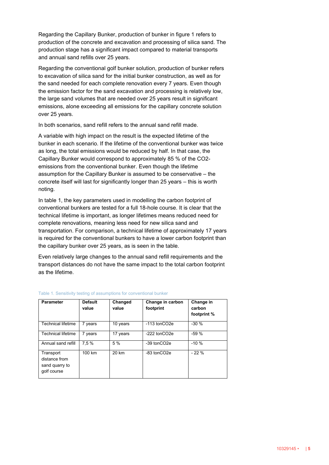Regarding the Capillary Bunker, production of bunker in figure 1 refers to production of the concrete and excavation and processing of silica sand. The production stage has a significant impact compared to material transports and annual sand refills over 25 years.

Regarding the conventional golf bunker solution, production of bunker refers to excavation of silica sand for the initial bunker construction, as well as for the sand needed for each complete renovation every 7 years. Even though the emission factor for the sand excavation and processing is relatively low, the large sand volumes that are needed over 25 years result in significant emissions, alone exceeding all emissions for the capillary concrete solution over 25 years.

In both scenarios, sand refill refers to the annual sand refill made.

A variable with high impact on the result is the expected lifetime of the bunker in each scenario. If the lifetime of the conventional bunker was twice as long, the total emissions would be reduced by half. In that case, the Capillary Bunker would correspond to approximately 85 % of the CO2 emissions from the conventional bunker. Even though the lifetime assumption for the Capillary Bunker is assumed to be conservative – the concrete itself will last for significantly longer than 25 years – this is worth noting.

In table 1, the key parameters used in modelling the carbon footprint of conventional bunkers are tested for a full 18-hole course. It is clear that the technical lifetime is important, as longer lifetimes means reduced need for complete renovations, meaning less need for new silica sand and transportation. For comparison, a technical lifetime of approximately 17 years is required for the conventional bunkers to have a lower carbon footprint than the capillary bunker over 25 years, as is seen in the table.

Even relatively large changes to the annual sand refill requirements and the transport distances do not have the same impact to the total carbon footprint as the lifetime.

| <b>Parameter</b>                                            | <b>Default</b><br>value | Changed<br>value | Change in carbon<br>footprint | Change in<br>carbon<br>footprint % |
|-------------------------------------------------------------|-------------------------|------------------|-------------------------------|------------------------------------|
| <b>Technical lifetime</b>                                   | 7 years                 | 10 years         | -113 tonCO2e                  | $-30%$                             |
| <b>Technical lifetime</b>                                   | 7 years                 | 17 years         | -222 tonCO2e                  | $-59%$                             |
| Annual sand refill                                          | 7.5%                    | 5 %              | -39 tonCO2e                   | $-10%$                             |
| Transport<br>distance from<br>sand quarry to<br>golf course | 100 km                  | 20 km            | -83 tonCO2e                   | $-22%$                             |

#### Table 1. Sensitivity testing of assumptions for conventional bunker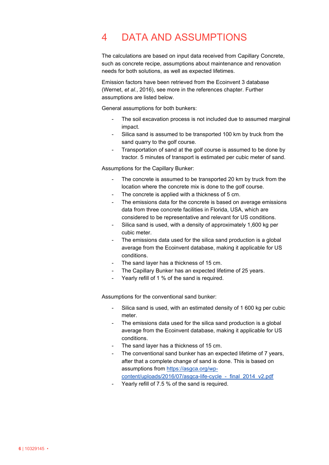## 4 DATA AND ASSUMPTIONS

The calculations are based on input data received from Capillary Concrete, such as concrete recipe, assumptions about maintenance and renovation needs for both solutions, as well as expected lifetimes.

Emission factors have been retrieved from the Ecoinvent 3 database (Wernet, *et al.*, 2016), see more in the references chapter. Further assumptions are listed below.

General assumptions for both bunkers:

- The soil excavation process is not included due to assumed marginal impact.
- Silica sand is assumed to be transported 100 km by truck from the sand quarry to the golf course.
- Transportation of sand at the golf course is assumed to be done by tractor. 5 minutes of transport is estimated per cubic meter of sand.

Assumptions for the Capillary Bunker:

- The concrete is assumed to be transported 20 km by truck from the location where the concrete mix is done to the golf course.
- The concrete is applied with a thickness of 5 cm.
- The emissions data for the concrete is based on average emissions data from three concrete facilities in Florida, USA, which are considered to be representative and relevant for US conditions.
- Silica sand is used, with a density of approximately 1,600 kg per cubic meter.
- The emissions data used for the silica sand production is a global average from the Ecoinvent database, making it applicable for US conditions.
- The sand layer has a thickness of 15 cm.
- The Capillary Bunker has an expected lifetime of 25 years.
- Yearly refill of 1 % of the sand is required.

Assumptions for the conventional sand bunker:

- Silica sand is used, with an estimated density of 1 600 kg per cubic meter.
- The emissions data used for the silica sand production is a global average from the Ecoinvent database, making it applicable for US conditions.
- The sand layer has a thickness of 15 cm.
- The conventional sand bunker has an expected lifetime of 7 years, after that a complete change of sand is done. This is based on assumptions from [https://asgca.org/wp](https://asgca.org/wp-content/uploads/2016/07/asgca-life-cycle_-_final_2014_v2.pdf)[content/uploads/2016/07/asgca-life-cycle\\_-\\_final\\_2014\\_v2.pdf](https://asgca.org/wp-content/uploads/2016/07/asgca-life-cycle_-_final_2014_v2.pdf)
- Yearly refill of 7.5 % of the sand is required.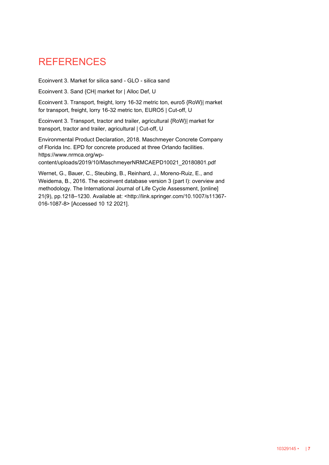### **REFERENCES**

Ecoinvent 3. Market for silica sand - GLO - silica sand

Ecoinvent 3. Sand {CH| market for | Alloc Def, U

Ecoinvent 3. Transport, freight, lorry 16-32 metric ton, euro5 {RoW}| market for transport, freight, lorry 16-32 metric ton, EURO5 | Cut-off, U

Ecoinvent 3. Transport, tractor and trailer, agricultural {RoW}| market for transport, tractor and trailer, agricultural | Cut-off, U

Environmental Product Declaration, 2018. Maschmeyer Concrete Company of Florida Inc. EPD for concrete produced at three Orlando facilities. https://www.nrmca.org/wpcontent/uploads/2019/10/MaschmeyerNRMCAEPD10021\_20180801.pdf

Wernet, G., Bauer, C., Steubing, B., Reinhard, J., Moreno-Ruiz, E., and Weidema, B., 2016. The ecoinvent database version 3 (part I): overview and methodology. The International Journal of Life Cycle Assessment, [online] 21(9), pp.1218–1230. Available at: <http://link.springer.com/10.1007/s11367- 016-1087-8> [Accessed 10 12 2021].